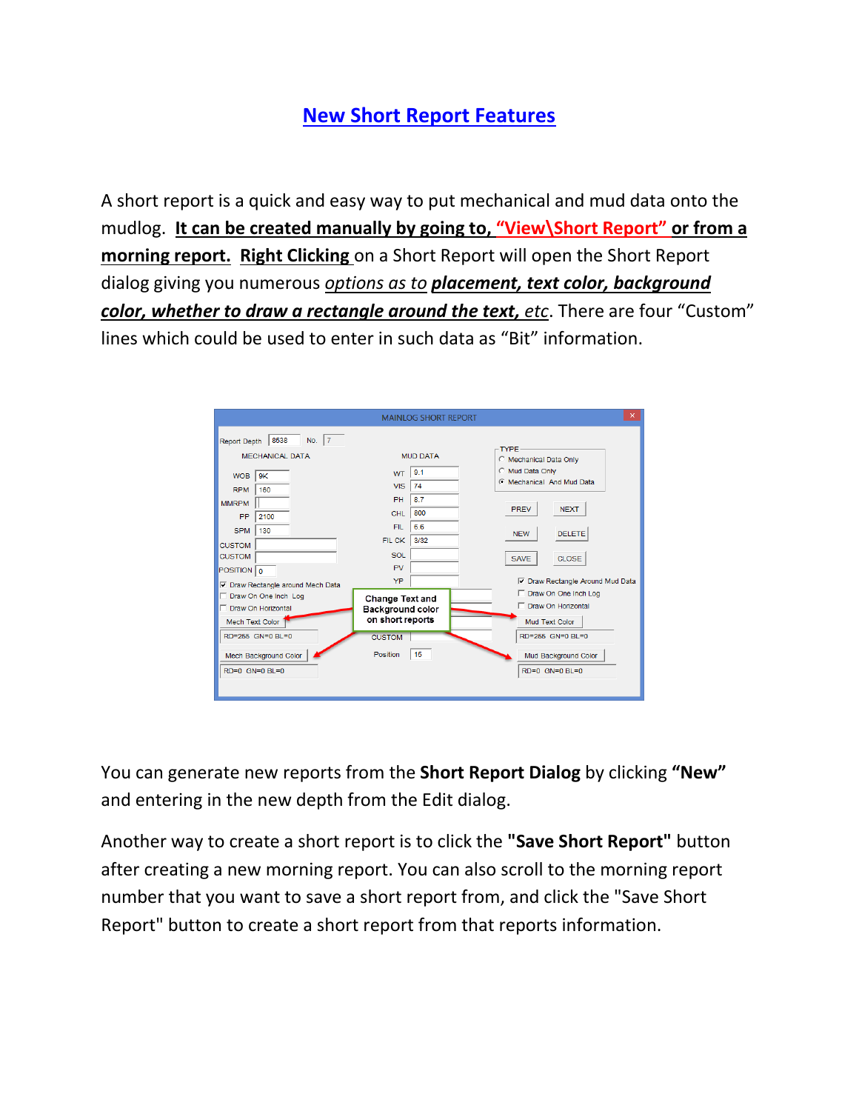## **New Short Report Features**

A short report is a quick and easy way to put mechanical and mud data onto the mudlog. **It can be created manually by going to, "View\Short Report" or from a morning report. Right Clicking** on a Short Report will open the Short Report dialog giving you numerous *options as to placement, text color, background color, whether to draw a rectangle around the text, etc*. There are four "Custom" lines which could be used to enter in such data as "Bit" information.

| 8538<br>No. $ 7 $<br>Report Depth<br><b>MECHANICAL DATA</b><br>9K<br><b>WOB</b><br>160<br><b>RPM</b><br><b>MMRPM</b><br>PP<br>2100<br><b>SPM</b><br>130<br><b>CUSTOM</b><br><b>CUSTOM</b><br>POSITION 0<br><b>▽</b> Draw Rectangle around Mech Data | <b>MUD DATA</b><br>9.1<br><b>WT</b><br><b>VIS</b><br>74<br>PH<br>8.7<br>800<br>CHL<br>6.6<br><b>FIL</b><br>3/32<br>FIL CK<br><b>SOL</b><br><b>PV</b><br>YP | <b>TYPE</b><br><b>C</b> Mechanical Data Only<br>C Mud Data Only<br><b>C</b> Mechanical And Mud Data<br><b>NEXT</b><br><b>PREV</b><br><b>DELETE</b><br><b>NEW</b><br>CLOSE.<br><b>SAVE</b><br><b>▽</b> Draw Rectangle Around Mud Data |
|-----------------------------------------------------------------------------------------------------------------------------------------------------------------------------------------------------------------------------------------------------|------------------------------------------------------------------------------------------------------------------------------------------------------------|--------------------------------------------------------------------------------------------------------------------------------------------------------------------------------------------------------------------------------------|
| Draw On One Inch Log                                                                                                                                                                                                                                | <b>Change Text and</b>                                                                                                                                     | Draw On One Inch Log                                                                                                                                                                                                                 |
| □ Draw On Horizontal                                                                                                                                                                                                                                | Background color                                                                                                                                           | Draw On Horizontal                                                                                                                                                                                                                   |
| Mech Text Color                                                                                                                                                                                                                                     | on short reports                                                                                                                                           | Mud Text Color                                                                                                                                                                                                                       |
| RD=255 GN=0 BL=0                                                                                                                                                                                                                                    | <b>CUSTOM</b>                                                                                                                                              | RD=255 GN=0 BL=0                                                                                                                                                                                                                     |
| Mech Background Color                                                                                                                                                                                                                               | 15                                                                                                                                                         | Mud Background Color                                                                                                                                                                                                                 |
| RD=0 GN=0 BL=0                                                                                                                                                                                                                                      | Position                                                                                                                                                   | RD=0 GN=0 BL=0                                                                                                                                                                                                                       |

You can generate new reports from the **Short Report Dialog** by clicking **"New"** and entering in the new depth from the Edit dialog.

Another way to create a short report is to click the **"Save Short Report"** button after creating a new morning report. You can also scroll to the morning report number that you want to save a short report from, and click the "Save Short Report" button to create a short report from that reports information.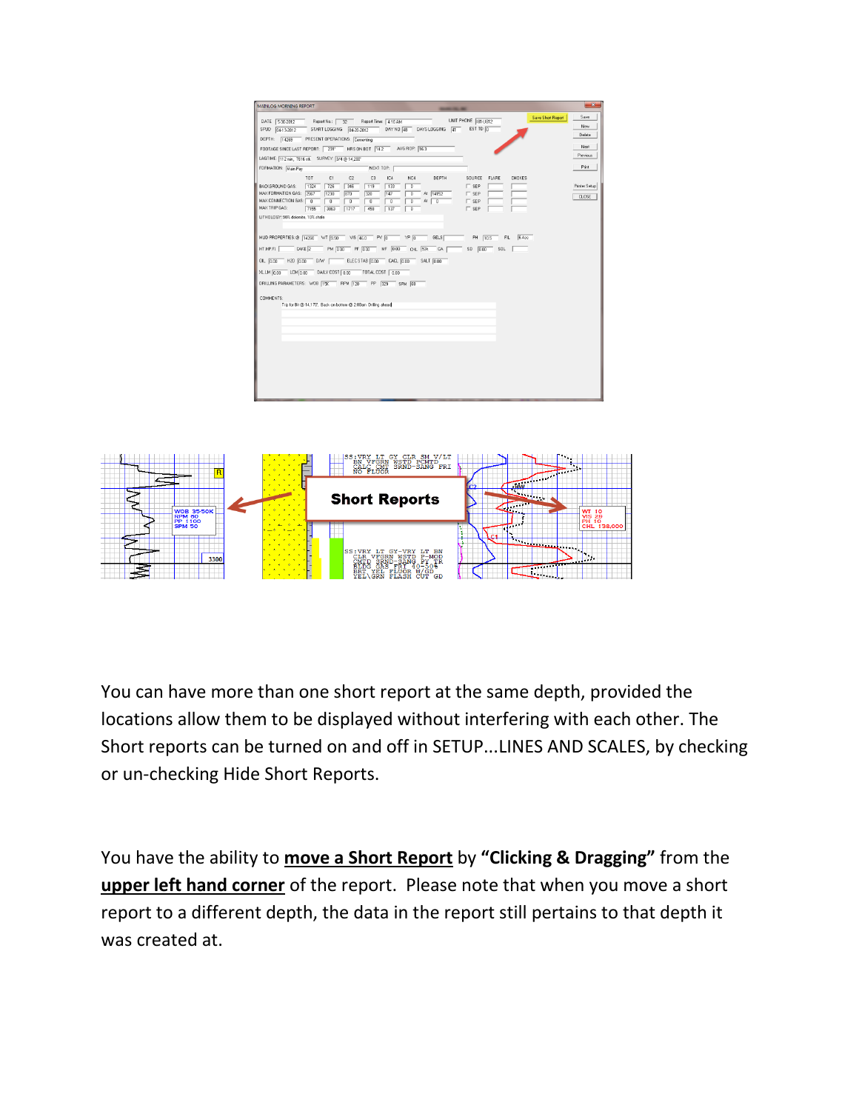| MAINLOG MORNING REPORT                                                                                                                                                                                                                                                                                                                                                                                                                |                                                                                           | $\mathbf{x}$                  |
|---------------------------------------------------------------------------------------------------------------------------------------------------------------------------------------------------------------------------------------------------------------------------------------------------------------------------------------------------------------------------------------------------------------------------------------|-------------------------------------------------------------------------------------------|-------------------------------|
| Report Time: 4:16 AM<br>Report No.: 22<br>DATE 5-30-2012<br>START LOGGING<br>DAY NO 48<br>DAYS LOGGING 41<br>SPUD 04-13-2012<br>$04 - 20 - 2012$<br>DEPTH: 14269<br>PRESENT OPERATIONS: Cementing                                                                                                                                                                                                                                     | <b>Save Short Report</b><br>UNIT PHONE 181-U812<br>EST TD O                               | Save<br>New<br>Delete         |
| FOOTAGE SINCE LAST REPORT: 231' HRS ON BOT 14.2 AVG ROP: 16.3                                                                                                                                                                                                                                                                                                                                                                         |                                                                                           | Next                          |
| LAGTIME: 112 min. 7616 stk SURVEY: 3/4 @ 14,200"                                                                                                                                                                                                                                                                                                                                                                                      |                                                                                           | Previous                      |
| FORMATION: Main Pav<br>NEXT TOP:                                                                                                                                                                                                                                                                                                                                                                                                      |                                                                                           | Print                         |
| TOT<br>C1<br>IC4<br>DEPTH<br>C <sub>2</sub><br>C3<br>NC4<br>BACKGROUND GAS:<br>1324<br>726<br>346<br>119<br>133<br>$\overline{0}$<br>MAX FORMATION GAS: 2567<br>147<br>At 14152<br>1230<br>870<br>320<br>$\overline{0}$<br>MAX CONNECTION GAS: 0<br>$\overline{0}$<br>At $\boxed{0}$<br>$\overline{0}$<br>$\overline{0}$<br>$\overline{0}$<br>$\overline{0}$<br>MAX TRIP GAS:<br>7155<br>3863<br>1717<br>458<br>137<br>$\overline{0}$ | SOURCE<br>FLARE<br>CHOKES<br>$\Gamma$ sep<br>$\sqcap$ SEP<br>$\Gamma$ SEP<br>$\Gamma$ sep | Printer Setup<br><b>CLOSE</b> |
| LITHOLOGY: 90% dolomite, 10% shale                                                                                                                                                                                                                                                                                                                                                                                                    |                                                                                           |                               |
|                                                                                                                                                                                                                                                                                                                                                                                                                                       |                                                                                           |                               |
| MUD PROPERTIES: @ 14260 WT 9.50 VIS 46.0<br>$\frac{1}{2}$ YP $\boxed{0}$<br>$W$ <sub>0</sub><br>GELS                                                                                                                                                                                                                                                                                                                                  | 6.4cc<br>PH   10.5<br>FIL                                                                 |                               |
| HT.HP.FL<br>CAKE 2<br>PM 0.00 PF 0.00 MF 0.00<br>$CHL$ 53k<br>$-A$                                                                                                                                                                                                                                                                                                                                                                    | $SD$ $0.00$<br>SOL                                                                        |                               |
| ELEC STAB 0.00 CACL 0.00 SALT 0.00<br>OIL 0.00<br>$H20$ $0.00$<br>$0 \mathcal{N}$                                                                                                                                                                                                                                                                                                                                                     |                                                                                           |                               |
| DAILY COST $0.00$<br>XL.LM 0.00<br>$LCM$ $0.00$<br>$-$ TOTAL COST $\boxed{0.00}$                                                                                                                                                                                                                                                                                                                                                      |                                                                                           |                               |
| DRILLING PARAMETERS: WOB 15K RPM 120 PP 329<br>SPM 68                                                                                                                                                                                                                                                                                                                                                                                 |                                                                                           |                               |
|                                                                                                                                                                                                                                                                                                                                                                                                                                       |                                                                                           |                               |
| COMMENTS:<br>Trip for Bit @ 14,170'. Back on bottom @ 2.00am Drilling ahead                                                                                                                                                                                                                                                                                                                                                           |                                                                                           |                               |
|                                                                                                                                                                                                                                                                                                                                                                                                                                       |                                                                                           |                               |
|                                                                                                                                                                                                                                                                                                                                                                                                                                       |                                                                                           |                               |
|                                                                                                                                                                                                                                                                                                                                                                                                                                       |                                                                                           |                               |
|                                                                                                                                                                                                                                                                                                                                                                                                                                       |                                                                                           |                               |
|                                                                                                                                                                                                                                                                                                                                                                                                                                       |                                                                                           |                               |
|                                                                                                                                                                                                                                                                                                                                                                                                                                       |                                                                                           |                               |
|                                                                                                                                                                                                                                                                                                                                                                                                                                       |                                                                                           |                               |
|                                                                                                                                                                                                                                                                                                                                                                                                                                       |                                                                                           |                               |
|                                                                                                                                                                                                                                                                                                                                                                                                                                       |                                                                                           |                               |



You can have more than one short report at the same depth, provided the locations allow them to be displayed without interfering with each other. The Short reports can be turned on and off in SETUP...LINES AND SCALES, by checking or un-checking Hide Short Reports.

You have the ability to **move a Short Report** by **"Clicking & Dragging"** from the **upper left hand corner** of the report. Please note that when you move a short report to a different depth, the data in the report still pertains to that depth it was created at.